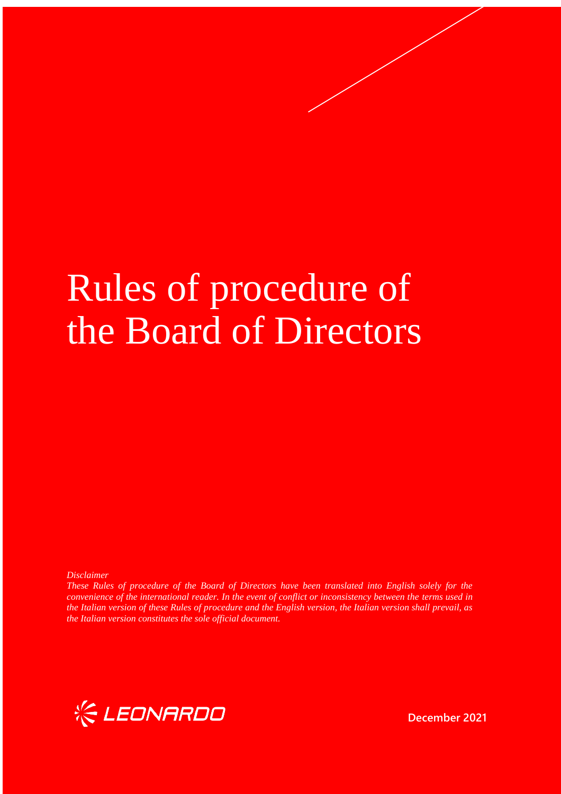# Rules of procedure of the Board of Directors

*Disclaimer*

*These Rules of procedure of the Board of Directors have been translated into English solely for the convenience of the international reader. In the event of conflict or inconsistency between the terms used in the Italian version of these Rules of procedure and the English version, the Italian version shall prevail, as the Italian version constitutes the sole official document.*



**December 2021**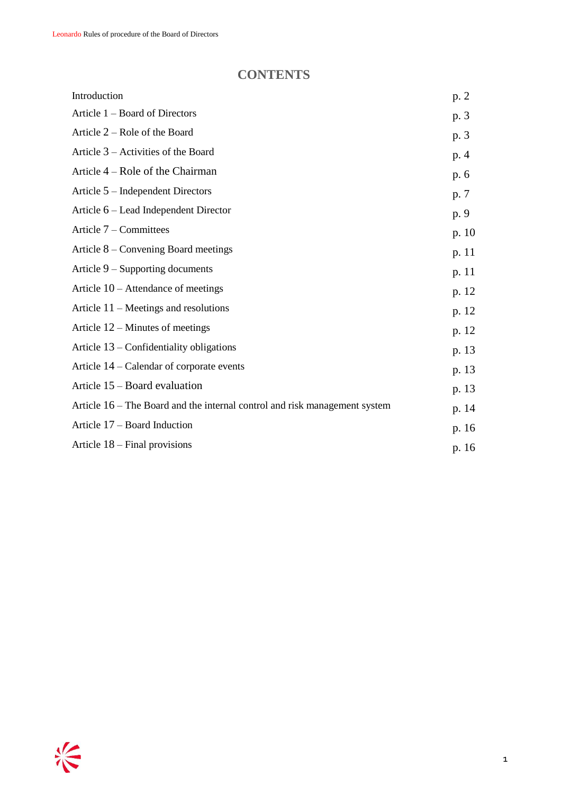# **CONTENTS**

| Introduction                                                                 | p. 2  |
|------------------------------------------------------------------------------|-------|
| Article 1 – Board of Directors                                               | p. 3  |
| Article $2 -$ Role of the Board                                              | p. 3  |
| Article $3$ – Activities of the Board                                        | p. 4  |
| Article 4 – Role of the Chairman                                             | p. 6  |
| Article $5$ – Independent Directors                                          | p. 7  |
| Article 6 – Lead Independent Director                                        | p. 9  |
| Article $7$ – Committees                                                     | p. 10 |
| Article $8$ – Convening Board meetings                                       | p. 11 |
| Article $9$ – Supporting documents                                           | p. 11 |
| Article $10$ – Attendance of meetings                                        | p. 12 |
| Article $11$ – Meetings and resolutions                                      | p. 12 |
| Article $12$ – Minutes of meetings                                           | p. 12 |
| Article $13$ – Confidentiality obligations                                   | p. 13 |
| Article 14 – Calendar of corporate events                                    | p. 13 |
| Article 15 – Board evaluation                                                | p. 13 |
| Article $16$ – The Board and the internal control and risk management system | p. 14 |
| Article 17 – Board Induction                                                 | p. 16 |
| Article $18$ – Final provisions                                              | p. 16 |
|                                                                              |       |

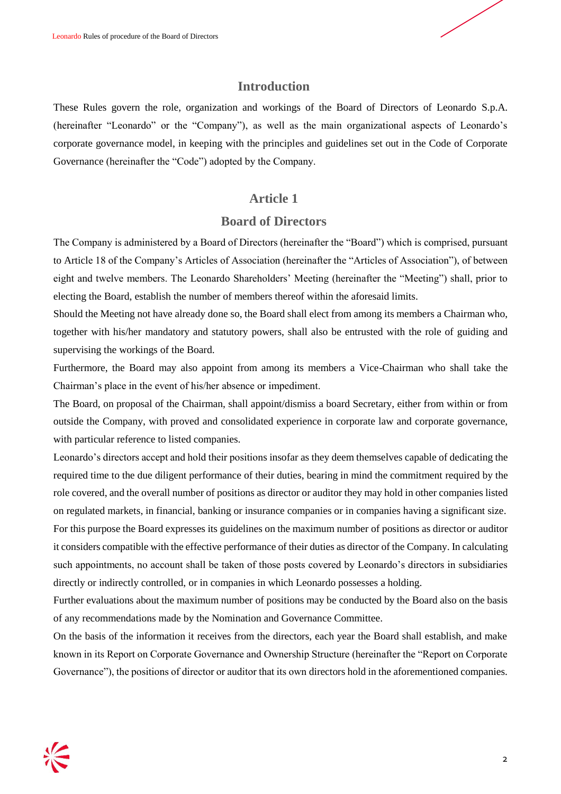

# **Introduction**

These Rules govern the role, organization and workings of the Board of Directors of Leonardo S.p.A. (hereinafter "Leonardo" or the "Company"), as well as the main organizational aspects of Leonardo's corporate governance model, in keeping with the principles and guidelines set out in the Code of Corporate Governance (hereinafter the "Code") adopted by the Company.

# **Article 1**

# **Board of Directors**

The Company is administered by a Board of Directors (hereinafter the "Board") which is comprised, pursuant to Article 18 of the Company's Articles of Association (hereinafter the "Articles of Association"), of between eight and twelve members. The Leonardo Shareholders' Meeting (hereinafter the "Meeting") shall, prior to electing the Board, establish the number of members thereof within the aforesaid limits.

Should the Meeting not have already done so, the Board shall elect from among its members a Chairman who, together with his/her mandatory and statutory powers, shall also be entrusted with the role of guiding and supervising the workings of the Board.

Furthermore, the Board may also appoint from among its members a Vice-Chairman who shall take the Chairman's place in the event of his/her absence or impediment.

The Board, on proposal of the Chairman, shall appoint/dismiss a board Secretary, either from within or from outside the Company, with proved and consolidated experience in corporate law and corporate governance, with particular reference to listed companies.

Leonardo's directors accept and hold their positions insofar as they deem themselves capable of dedicating the required time to the due diligent performance of their duties, bearing in mind the commitment required by the role covered, and the overall number of positions as director or auditor they may hold in other companies listed on regulated markets, in financial, banking or insurance companies or in companies having a significant size. For this purpose the Board expresses its guidelines on the maximum number of positions as director or auditor it considers compatible with the effective performance of their duties as director of the Company. In calculating such appointments, no account shall be taken of those posts covered by Leonardo's directors in subsidiaries directly or indirectly controlled, or in companies in which Leonardo possesses a holding.

Further evaluations about the maximum number of positions may be conducted by the Board also on the basis of any recommendations made by the Nomination and Governance Committee.

On the basis of the information it receives from the directors, each year the Board shall establish, and make known in its Report on Corporate Governance and Ownership Structure (hereinafter the "Report on Corporate Governance"), the positions of director or auditor that its own directors hold in the aforementioned companies.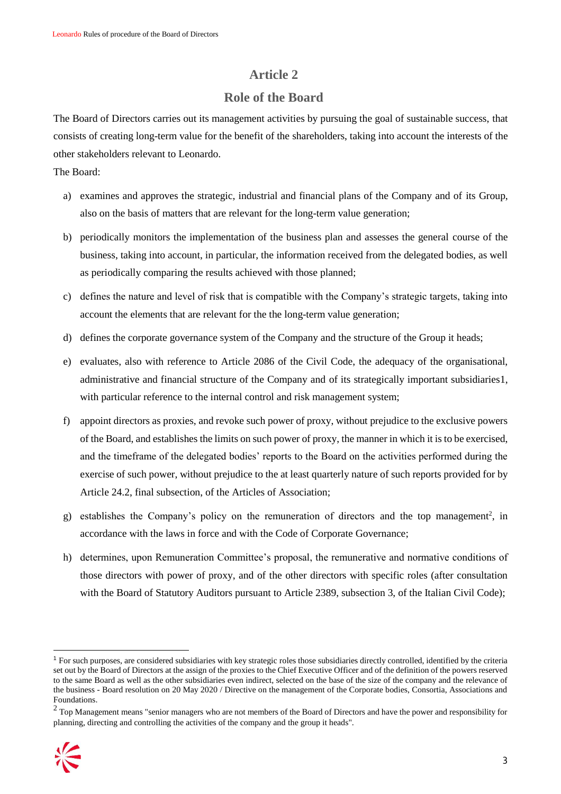### **Role of the Board**

The Board of Directors carries out its management activities by pursuing the goal of sustainable success, that consists of creating long-term value for the benefit of the shareholders, taking into account the interests of the other stakeholders relevant to Leonardo.

#### The Board:

- a) examines and approves the strategic, industrial and financial plans of the Company and of its Group, also on the basis of matters that are relevant for the long-term value generation;
- b) periodically monitors the implementation of the business plan and assesses the general course of the business, taking into account, in particular, the information received from the delegated bodies, as well as periodically comparing the results achieved with those planned;
- c) defines the nature and level of risk that is compatible with the Company's strategic targets, taking into account the elements that are relevant for the the long-term value generation;
- d) defines the corporate governance system of the Company and the structure of the Group it heads;
- e) evaluates, also with reference to Article 2086 of the Civil Code, the adequacy of the organisational, administrative and financial structure of the Company and of its strategically important subsidiaries1, with particular reference to the internal control and risk management system;
- f) appoint directors as proxies, and revoke such power of proxy, without prejudice to the exclusive powers of the Board, and establishes the limits on such power of proxy, the manner in which it is to be exercised, and the timeframe of the delegated bodies' reports to the Board on the activities performed during the exercise of such power, without prejudice to the at least quarterly nature of such reports provided for by Article 24.2, final subsection, of the Articles of Association;
- g) establishes the Company's policy on the remuneration of directors and the top management<sup>2</sup>, in accordance with the laws in force and with the Code of Corporate Governance;
- h) determines, upon Remuneration Committee's proposal, the remunerative and normative conditions of those directors with power of proxy, and of the other directors with specific roles (after consultation with the Board of Statutory Auditors pursuant to Article 2389, subsection 3, of the Italian Civil Code);

 $2$  Top Management means "senior managers who are not members of the Board of Directors and have the power and responsibility for planning, directing and controlling the activities of the company and the group it heads".



<sup>1</sup> For such purposes, are considered subsidiaries with key strategic roles those subsidiaries directly controlled, identified by the criteria set out by the Board of Directors at the assign of the proxies to the Chief Executive Officer and of the definition of the powers reserved to the same Board as well as the other subsidiaries even indirect, selected on the base of the size of the company and the relevance of the business - Board resolution on 20 May 2020 / Directive on the management of the Corporate bodies, Consortia, Associations and Foundations.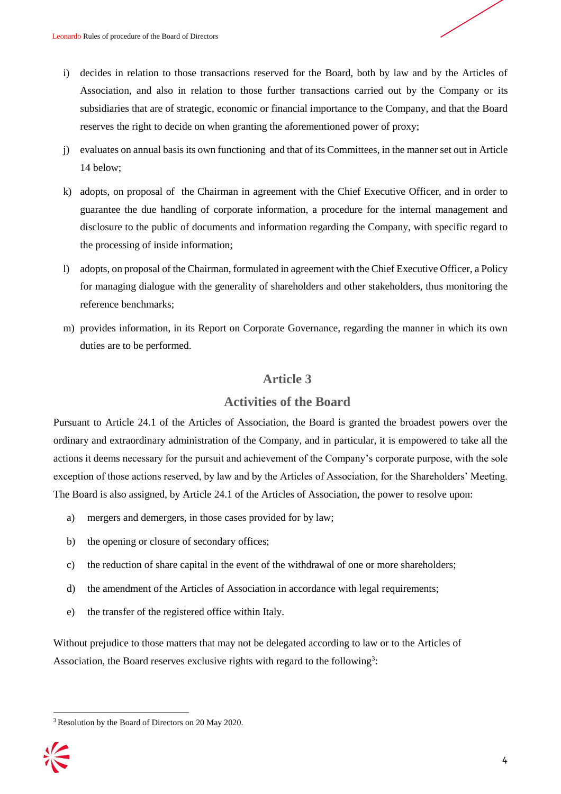- i) decides in relation to those transactions reserved for the Board, both by law and by the Articles of Association, and also in relation to those further transactions carried out by the Company or its subsidiaries that are of strategic, economic or financial importance to the Company, and that the Board reserves the right to decide on when granting the aforementioned power of proxy;
- j) evaluates on annual basis its own functioning and that of its Committees, in the manner set out in Article 14 below;
- k) adopts, on proposal of the Chairman in agreement with the Chief Executive Officer, and in order to guarantee the due handling of corporate information, a procedure for the internal management and disclosure to the public of documents and information regarding the Company, with specific regard to the processing of inside information;
- l) adopts, on proposal of the Chairman, formulated in agreement with the Chief Executive Officer, a Policy for managing dialogue with the generality of shareholders and other stakeholders, thus monitoring the reference benchmarks;
- m) provides information, in its Report on Corporate Governance, regarding the manner in which its own duties are to be performed.

## **Activities of the Board**

Pursuant to Article 24.1 of the Articles of Association, the Board is granted the broadest powers over the ordinary and extraordinary administration of the Company, and in particular, it is empowered to take all the actions it deems necessary for the pursuit and achievement of the Company's corporate purpose, with the sole exception of those actions reserved, by law and by the Articles of Association, for the Shareholders' Meeting. The Board is also assigned, by Article 24.1 of the Articles of Association, the power to resolve upon:

- a) mergers and demergers, in those cases provided for by law;
- b) the opening or closure of secondary offices;
- c) the reduction of share capital in the event of the withdrawal of one or more shareholders;
- d) the amendment of the Articles of Association in accordance with legal requirements;
- e) the transfer of the registered office within Italy.

Without prejudice to those matters that may not be delegated according to law or to the Articles of Association, the Board reserves exclusive rights with regard to the following<sup>3</sup>:

<sup>3</sup> Resolution by the Board of Directors on 20 May 2020.

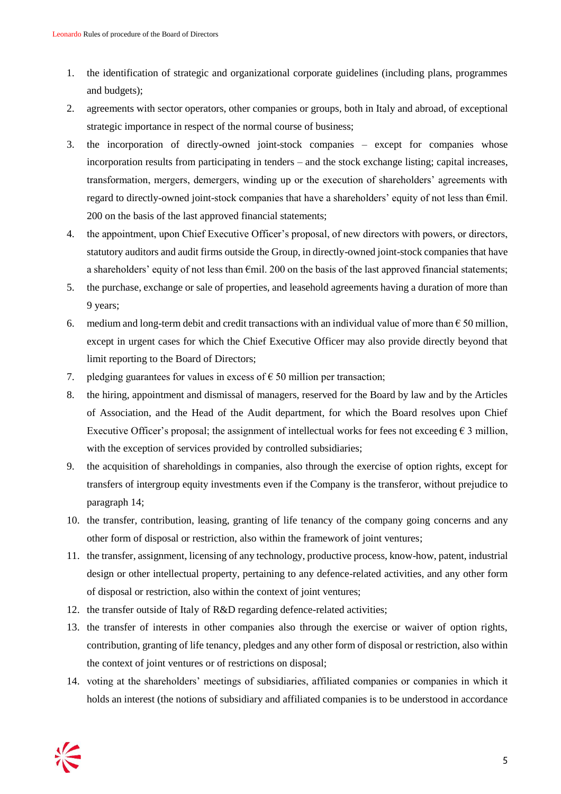- 1. the identification of strategic and organizational corporate guidelines (including plans, programmes and budgets);
- 2. agreements with sector operators, other companies or groups, both in Italy and abroad, of exceptional strategic importance in respect of the normal course of business;
- 3. the incorporation of directly-owned joint-stock companies except for companies whose incorporation results from participating in tenders – and the stock exchange listing; capital increases, transformation, mergers, demergers, winding up or the execution of shareholders' agreements with regard to directly-owned joint-stock companies that have a shareholders' equity of not less than €mil. 200 on the basis of the last approved financial statements;
- 4. the appointment, upon Chief Executive Officer's proposal, of new directors with powers, or directors, statutory auditors and audit firms outside the Group, in directly-owned joint-stock companies that have a shareholders' equity of not less than €mil. 200 on the basis of the last approved financial statements;
- 5. the purchase, exchange or sale of properties, and leasehold agreements having a duration of more than 9 years;
- 6. medium and long-term debit and credit transactions with an individual value of more than  $\epsilon$  50 million, except in urgent cases for which the Chief Executive Officer may also provide directly beyond that limit reporting to the Board of Directors;
- 7. pledging guarantees for values in excess of  $\epsilon$  50 million per transaction;
- 8. the hiring, appointment and dismissal of managers, reserved for the Board by law and by the Articles of Association, and the Head of the Audit department, for which the Board resolves upon Chief Executive Officer's proposal; the assignment of intellectual works for fees not exceeding  $\epsilon$  3 million, with the exception of services provided by controlled subsidiaries;
- 9. the acquisition of shareholdings in companies, also through the exercise of option rights, except for transfers of intergroup equity investments even if the Company is the transferor, without prejudice to paragraph 14;
- 10. the transfer, contribution, leasing, granting of life tenancy of the company going concerns and any other form of disposal or restriction, also within the framework of joint ventures;
- 11. the transfer, assignment, licensing of any technology, productive process, know-how, patent, industrial design or other intellectual property, pertaining to any defence-related activities, and any other form of disposal or restriction, also within the context of joint ventures;
- 12. the transfer outside of Italy of R&D regarding defence-related activities;
- 13. the transfer of interests in other companies also through the exercise or waiver of option rights, contribution, granting of life tenancy, pledges and any other form of disposal or restriction, also within the context of joint ventures or of restrictions on disposal;
- 14. voting at the shareholders' meetings of subsidiaries, affiliated companies or companies in which it holds an interest (the notions of subsidiary and affiliated companies is to be understood in accordance

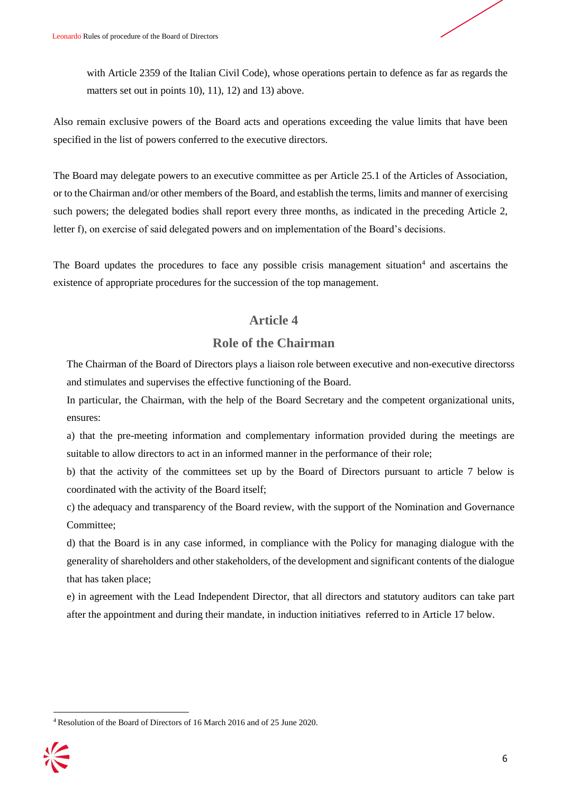

with Article 2359 of the Italian Civil Code), whose operations pertain to defence as far as regards the matters set out in points 10), 11), 12) and 13) above.

Also remain exclusive powers of the Board acts and operations exceeding the value limits that have been specified in the list of powers conferred to the executive directors.

The Board may delegate powers to an executive committee as per Article 25.1 of the Articles of Association, or to the Chairman and/or other members of the Board, and establish the terms, limits and manner of exercising such powers; the delegated bodies shall report every three months, as indicated in the preceding Article 2, letter f), on exercise of said delegated powers and on implementation of the Board's decisions.

The Board updates the procedures to face any possible crisis management situation<sup>4</sup> and ascertains the existence of appropriate procedures for the succession of the top management.

# **Article 4**

# **Role of the Chairman**

The Chairman of the Board of Directors plays a liaison role between executive and non-executive directorss and stimulates and supervises the effective functioning of the Board.

In particular, the Chairman, with the help of the Board Secretary and the competent organizational units, ensures:

a) that the pre-meeting information and complementary information provided during the meetings are suitable to allow directors to act in an informed manner in the performance of their role;

b) that the activity of the committees set up by the Board of Directors pursuant to article 7 below is coordinated with the activity of the Board itself;

c) the adequacy and transparency of the Board review, with the support of the Nomination and Governance Committee;

d) that the Board is in any case informed, in compliance with the Policy for managing dialogue with the generality of shareholders and other stakeholders, of the development and significant contents of the dialogue that has taken place;

e) in agreement with the Lead Independent Director, that all directors and statutory auditors can take part after the appointment and during their mandate, in induction initiatives referred to in Article 17 below.

<sup>4</sup> Resolution of the Board of Directors of 16 March 2016 and of 25 June 2020.

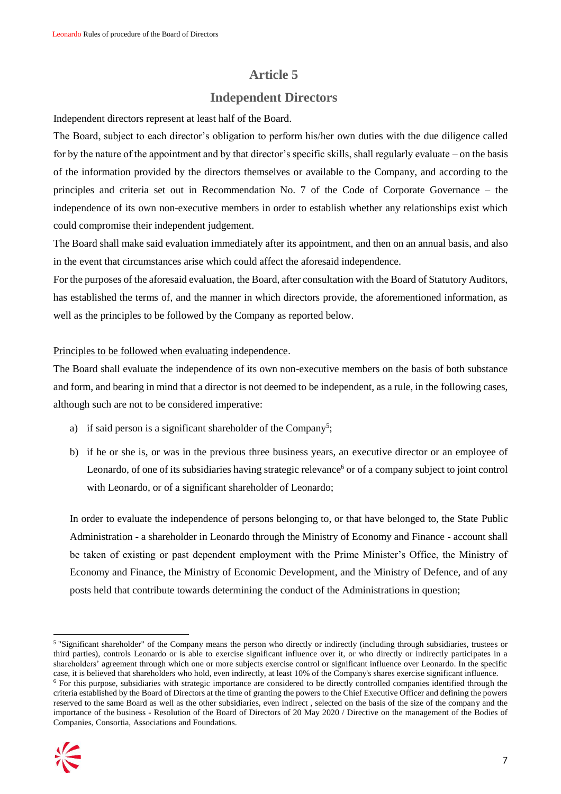## **Independent Directors**

Independent directors represent at least half of the Board.

The Board, subject to each director's obligation to perform his/her own duties with the due diligence called for by the nature of the appointment and by that director's specific skills, shall regularly evaluate – on the basis of the information provided by the directors themselves or available to the Company, and according to the principles and criteria set out in Recommendation No. 7 of the Code of Corporate Governance – the independence of its own non-executive members in order to establish whether any relationships exist which could compromise their independent judgement.

The Board shall make said evaluation immediately after its appointment, and then on an annual basis, and also in the event that circumstances arise which could affect the aforesaid independence.

For the purposes of the aforesaid evaluation, the Board, after consultation with the Board of Statutory Auditors, has established the terms of, and the manner in which directors provide, the aforementioned information, as well as the principles to be followed by the Company as reported below.

#### Principles to be followed when evaluating independence.

The Board shall evaluate the independence of its own non-executive members on the basis of both substance and form, and bearing in mind that a director is not deemed to be independent, as a rule, in the following cases, although such are not to be considered imperative:

- a) if said person is a significant shareholder of the Company<sup>5</sup>;
- b) if he or she is, or was in the previous three business years, an executive director or an employee of Leonardo, of one of its subsidiaries having strategic relevance<sup>6</sup> or of a company subject to joint control with Leonardo, or of a significant shareholder of Leonardo;

In order to evaluate the independence of persons belonging to, or that have belonged to, the State Public Administration - a shareholder in Leonardo through the Ministry of Economy and Finance - account shall be taken of existing or past dependent employment with the Prime Minister's Office, the Ministry of Economy and Finance, the Ministry of Economic Development, and the Ministry of Defence, and of any posts held that contribute towards determining the conduct of the Administrations in question;

 $6$  For this purpose, subsidiaries with strategic importance are considered to be directly controlled companies identified through the criteria established by the Board of Directors at the time of granting the powers to the Chief Executive Officer and defining the powers reserved to the same Board as well as the other subsidiaries, even indirect , selected on the basis of the size of the company and the importance of the business - Resolution of the Board of Directors of 20 May 2020 / Directive on the management of the Bodies of Companies, Consortia, Associations and Foundations.



 $\overline{a}$ 5 "Significant shareholder" of the Company means the person who directly or indirectly (including through subsidiaries, trustees or third parties), controls Leonardo or is able to exercise significant influence over it, or who directly or indirectly participates in a shareholders' agreement through which one or more subjects exercise control or significant influence over Leonardo. In the specific case, it is believed that shareholders who hold, even indirectly, at least 10% of the Company's shares exercise significant influence.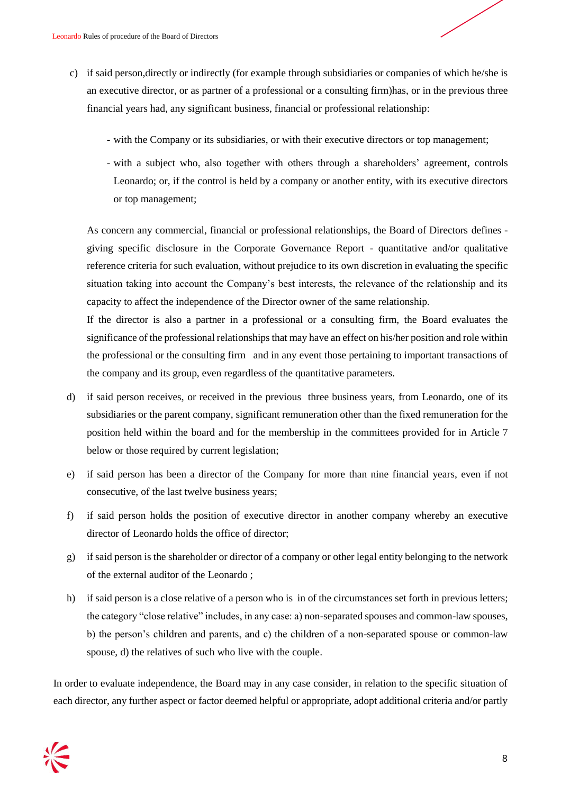- c) if said person,directly or indirectly (for example through subsidiaries or companies of which he/she is an executive director, or as partner of a professional or a consulting firm)has, or in the previous three financial years had, any significant business, financial or professional relationship:
	- with the Company or its subsidiaries, or with their executive directors or top management;
	- with a subject who, also together with others through a shareholders' agreement, controls Leonardo; or, if the control is held by a company or another entity, with its executive directors or top management;

As concern any commercial, financial or professional relationships, the Board of Directors defines giving specific disclosure in the Corporate Governance Report - quantitative and/or qualitative reference criteria for such evaluation, without prejudice to its own discretion in evaluating the specific situation taking into account the Company's best interests, the relevance of the relationship and its capacity to affect the independence of the Director owner of the same relationship.

If the director is also a partner in a professional or a consulting firm, the Board evaluates the significance of the professional relationships that may have an effect on his/her position and role within the professional or the consulting firm and in any event those pertaining to important transactions of the company and its group, even regardless of the quantitative parameters.

- d) if said person receives, or received in the previous three business years, from Leonardo, one of its subsidiaries or the parent company, significant remuneration other than the fixed remuneration for the position held within the board and for the membership in the committees provided for in Article 7 below or those required by current legislation;
- e) if said person has been a director of the Company for more than nine financial years, even if not consecutive, of the last twelve business years;
- f) if said person holds the position of executive director in another company whereby an executive director of Leonardo holds the office of director;
- g) if said person is the shareholder or director of a company or other legal entity belonging to the network of the external auditor of the Leonardo ;
- h) if said person is a close relative of a person who is in of the circumstances set forth in previous letters; the category "close relative" includes, in any case: a) non-separated spouses and common-law spouses, b) the person's children and parents, and c) the children of a non-separated spouse or common-law spouse, d) the relatives of such who live with the couple.

In order to evaluate independence, the Board may in any case consider, in relation to the specific situation of each director, any further aspect or factor deemed helpful or appropriate, adopt additional criteria and/or partly

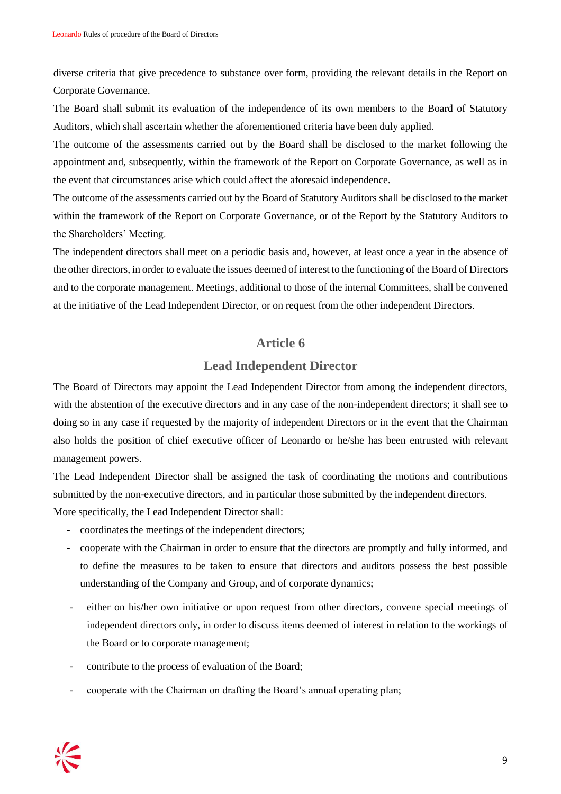diverse criteria that give precedence to substance over form, providing the relevant details in the Report on Corporate Governance.

The Board shall submit its evaluation of the independence of its own members to the Board of Statutory Auditors, which shall ascertain whether the aforementioned criteria have been duly applied.

The outcome of the assessments carried out by the Board shall be disclosed to the market following the appointment and, subsequently, within the framework of the Report on Corporate Governance, as well as in the event that circumstances arise which could affect the aforesaid independence.

The outcome of the assessments carried out by the Board of Statutory Auditors shall be disclosed to the market within the framework of the Report on Corporate Governance, or of the Report by the Statutory Auditors to the Shareholders' Meeting.

The independent directors shall meet on a periodic basis and, however, at least once a year in the absence of the other directors, in order to evaluate the issues deemed of interest to the functioning of the Board of Directors and to the corporate management. Meetings, additional to those of the internal Committees, shall be convened at the initiative of the Lead Independent Director, or on request from the other independent Directors.

#### **Article 6**

## **Lead Independent Director**

The Board of Directors may appoint the Lead Independent Director from among the independent directors, with the abstention of the executive directors and in any case of the non-independent directors; it shall see to doing so in any case if requested by the majority of independent Directors or in the event that the Chairman also holds the position of chief executive officer of Leonardo or he/she has been entrusted with relevant management powers.

The Lead Independent Director shall be assigned the task of coordinating the motions and contributions submitted by the non-executive directors, and in particular those submitted by the independent directors. More specifically, the Lead Independent Director shall:

- coordinates the meetings of the independent directors;
- cooperate with the Chairman in order to ensure that the directors are promptly and fully informed, and to define the measures to be taken to ensure that directors and auditors possess the best possible understanding of the Company and Group, and of corporate dynamics;
- either on his/her own initiative or upon request from other directors, convene special meetings of independent directors only, in order to discuss items deemed of interest in relation to the workings of the Board or to corporate management;
- contribute to the process of evaluation of the Board;
- cooperate with the Chairman on drafting the Board's annual operating plan;

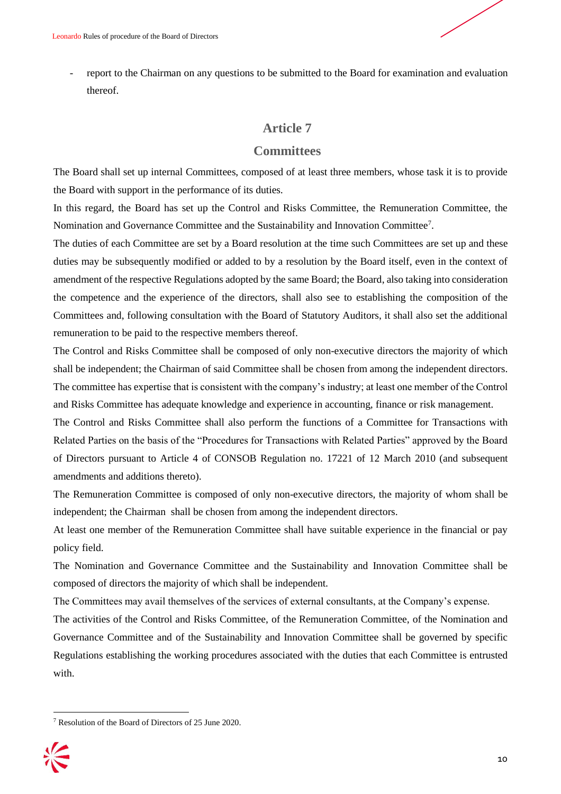report to the Chairman on any questions to be submitted to the Board for examination and evaluation thereof.

#### **Article 7**

#### **Committees**

The Board shall set up internal Committees, composed of at least three members, whose task it is to provide the Board with support in the performance of its duties.

In this regard, the Board has set up the Control and Risks Committee, the Remuneration Committee, the Nomination and Governance Committee and the Sustainability and Innovation Committee<sup>7</sup>.

The duties of each Committee are set by a Board resolution at the time such Committees are set up and these duties may be subsequently modified or added to by a resolution by the Board itself, even in the context of amendment of the respective Regulations adopted by the same Board; the Board, also taking into consideration the competence and the experience of the directors, shall also see to establishing the composition of the Committees and, following consultation with the Board of Statutory Auditors, it shall also set the additional remuneration to be paid to the respective members thereof.

The Control and Risks Committee shall be composed of only non-executive directors the majority of which shall be independent; the Chairman of said Committee shall be chosen from among the independent directors. The committee has expertise that is consistent with the company's industry; at least one member of the Control and Risks Committee has adequate knowledge and experience in accounting, finance or risk management.

The Control and Risks Committee shall also perform the functions of a Committee for Transactions with Related Parties on the basis of the "Procedures for Transactions with Related Parties" approved by the Board of Directors pursuant to Article 4 of CONSOB Regulation no. 17221 of 12 March 2010 (and subsequent amendments and additions thereto).

The Remuneration Committee is composed of only non-executive directors, the majority of whom shall be independent; the Chairman shall be chosen from among the independent directors.

At least one member of the Remuneration Committee shall have suitable experience in the financial or pay policy field.

The Nomination and Governance Committee and the Sustainability and Innovation Committee shall be composed of directors the majority of which shall be independent.

The Committees may avail themselves of the services of external consultants, at the Company's expense.

The activities of the Control and Risks Committee, of the Remuneration Committee, of the Nomination and Governance Committee and of the Sustainability and Innovation Committee shall be governed by specific Regulations establishing the working procedures associated with the duties that each Committee is entrusted with.

<sup>7</sup> Resolution of the Board of Directors of 25 June 2020.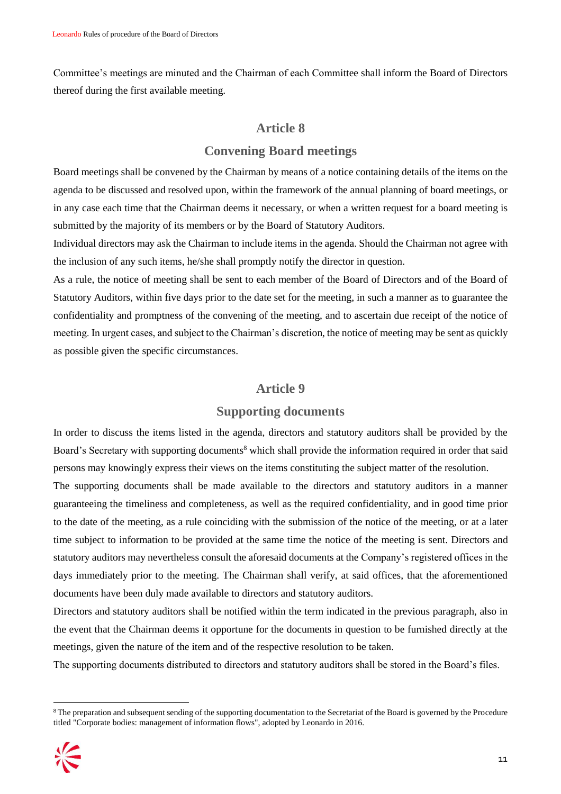Committee's meetings are minuted and the Chairman of each Committee shall inform the Board of Directors thereof during the first available meeting.

### **Article 8**

# **Convening Board meetings**

Board meetings shall be convened by the Chairman by means of a notice containing details of the items on the agenda to be discussed and resolved upon, within the framework of the annual planning of board meetings, or in any case each time that the Chairman deems it necessary, or when a written request for a board meeting is submitted by the majority of its members or by the Board of Statutory Auditors.

Individual directors may ask the Chairman to include items in the agenda. Should the Chairman not agree with the inclusion of any such items, he/she shall promptly notify the director in question.

As a rule, the notice of meeting shall be sent to each member of the Board of Directors and of the Board of Statutory Auditors, within five days prior to the date set for the meeting, in such a manner as to guarantee the confidentiality and promptness of the convening of the meeting, and to ascertain due receipt of the notice of meeting. In urgent cases, and subject to the Chairman's discretion, the notice of meeting may be sent as quickly as possible given the specific circumstances.

#### **Article 9**

#### **Supporting documents**

In order to discuss the items listed in the agenda, directors and statutory auditors shall be provided by the Board's Secretary with supporting documents<sup>8</sup> which shall provide the information required in order that said persons may knowingly express their views on the items constituting the subject matter of the resolution.

The supporting documents shall be made available to the directors and statutory auditors in a manner guaranteeing the timeliness and completeness, as well as the required confidentiality, and in good time prior to the date of the meeting, as a rule coinciding with the submission of the notice of the meeting, or at a later time subject to information to be provided at the same time the notice of the meeting is sent. Directors and statutory auditors may nevertheless consult the aforesaid documents at the Company's registered offices in the days immediately prior to the meeting. The Chairman shall verify, at said offices, that the aforementioned documents have been duly made available to directors and statutory auditors.

Directors and statutory auditors shall be notified within the term indicated in the previous paragraph, also in the event that the Chairman deems it opportune for the documents in question to be furnished directly at the meetings, given the nature of the item and of the respective resolution to be taken.

The supporting documents distributed to directors and statutory auditors shall be stored in the Board's files.

<sup>&</sup>lt;sup>8</sup> The preparation and subsequent sending of the supporting documentation to the Secretariat of the Board is governed by the Procedure titled "Corporate bodies: management of information flows", adopted by Leonardo in 2016.

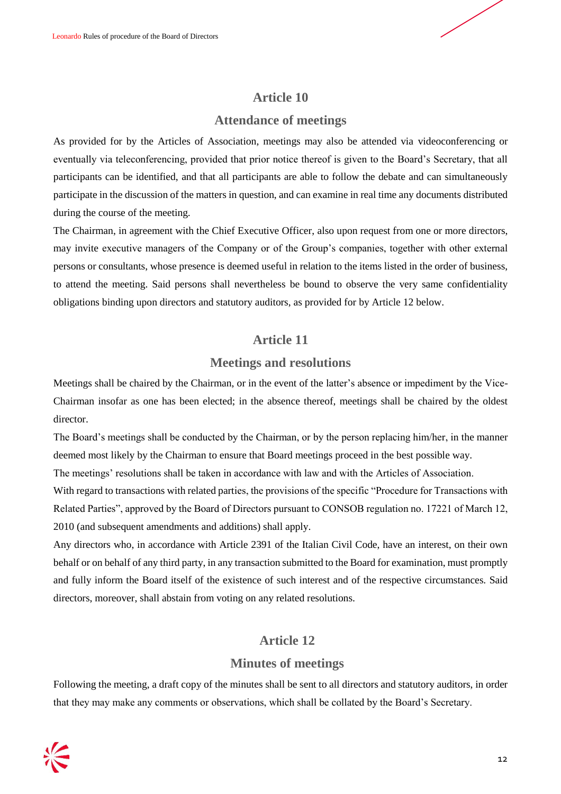

# **Attendance of meetings**

As provided for by the Articles of Association, meetings may also be attended via videoconferencing or eventually via teleconferencing, provided that prior notice thereof is given to the Board's Secretary, that all participants can be identified, and that all participants are able to follow the debate and can simultaneously participate in the discussion of the matters in question, and can examine in real time any documents distributed during the course of the meeting.

The Chairman, in agreement with the Chief Executive Officer, also upon request from one or more directors, may invite executive managers of the Company or of the Group's companies, together with other external persons or consultants, whose presence is deemed useful in relation to the items listed in the order of business, to attend the meeting. Said persons shall nevertheless be bound to observe the very same confidentiality obligations binding upon directors and statutory auditors, as provided for by Article 12 below.

# **Article 11**

# **Meetings and resolutions**

Meetings shall be chaired by the Chairman, or in the event of the latter's absence or impediment by the Vice-Chairman insofar as one has been elected; in the absence thereof, meetings shall be chaired by the oldest director.

The Board's meetings shall be conducted by the Chairman, or by the person replacing him/her, in the manner deemed most likely by the Chairman to ensure that Board meetings proceed in the best possible way.

The meetings' resolutions shall be taken in accordance with law and with the Articles of Association.

With regard to transactions with related parties, the provisions of the specific "Procedure for Transactions with Related Parties", approved by the Board of Directors pursuant to CONSOB regulation no. 17221 of March 12, 2010 (and subsequent amendments and additions) shall apply.

Any directors who, in accordance with Article 2391 of the Italian Civil Code, have an interest, on their own behalf or on behalf of any third party, in any transaction submitted to the Board for examination, must promptly and fully inform the Board itself of the existence of such interest and of the respective circumstances. Said directors, moreover, shall abstain from voting on any related resolutions.

# **Article 12**

# **Minutes of meetings**

Following the meeting, a draft copy of the minutes shall be sent to all directors and statutory auditors, in order that they may make any comments or observations, which shall be collated by the Board's Secretary.

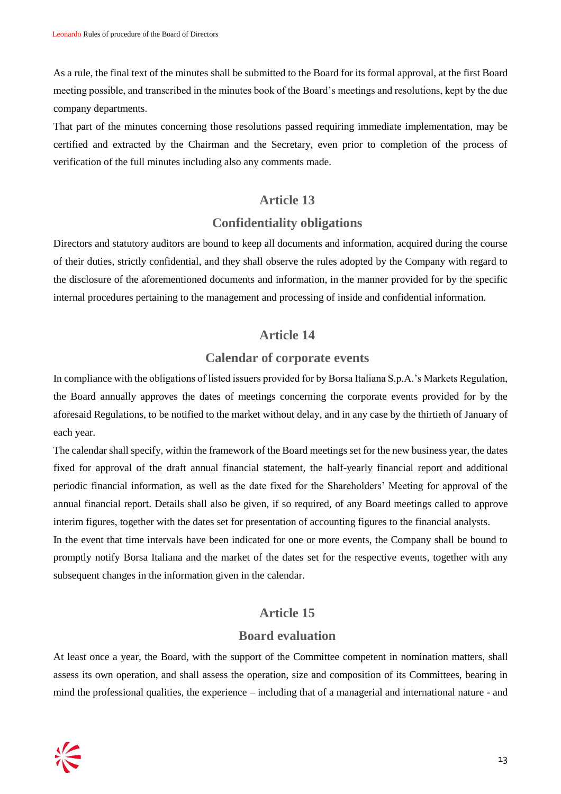As a rule, the final text of the minutes shall be submitted to the Board for its formal approval, at the first Board meeting possible, and transcribed in the minutes book of the Board's meetings and resolutions, kept by the due company departments.

That part of the minutes concerning those resolutions passed requiring immediate implementation, may be certified and extracted by the Chairman and the Secretary, even prior to completion of the process of verification of the full minutes including also any comments made.

#### **Article 13**

#### **Confidentiality obligations**

Directors and statutory auditors are bound to keep all documents and information, acquired during the course of their duties, strictly confidential, and they shall observe the rules adopted by the Company with regard to the disclosure of the aforementioned documents and information, in the manner provided for by the specific internal procedures pertaining to the management and processing of inside and confidential information.

#### **Article 14**

#### **Calendar of corporate events**

In compliance with the obligations of listed issuers provided for by Borsa Italiana S.p.A.'s Markets Regulation, the Board annually approves the dates of meetings concerning the corporate events provided for by the aforesaid Regulations, to be notified to the market without delay, and in any case by the thirtieth of January of each year.

The calendar shall specify, within the framework of the Board meetings set for the new business year, the dates fixed for approval of the draft annual financial statement, the half-yearly financial report and additional periodic financial information, as well as the date fixed for the Shareholders' Meeting for approval of the annual financial report. Details shall also be given, if so required, of any Board meetings called to approve interim figures, together with the dates set for presentation of accounting figures to the financial analysts.

In the event that time intervals have been indicated for one or more events, the Company shall be bound to promptly notify Borsa Italiana and the market of the dates set for the respective events, together with any subsequent changes in the information given in the calendar.

#### **Article 15**

#### **Board evaluation**

At least once a year, the Board, with the support of the Committee competent in nomination matters, shall assess its own operation, and shall assess the operation, size and composition of its Committees, bearing in mind the professional qualities, the experience – including that of a managerial and international nature - and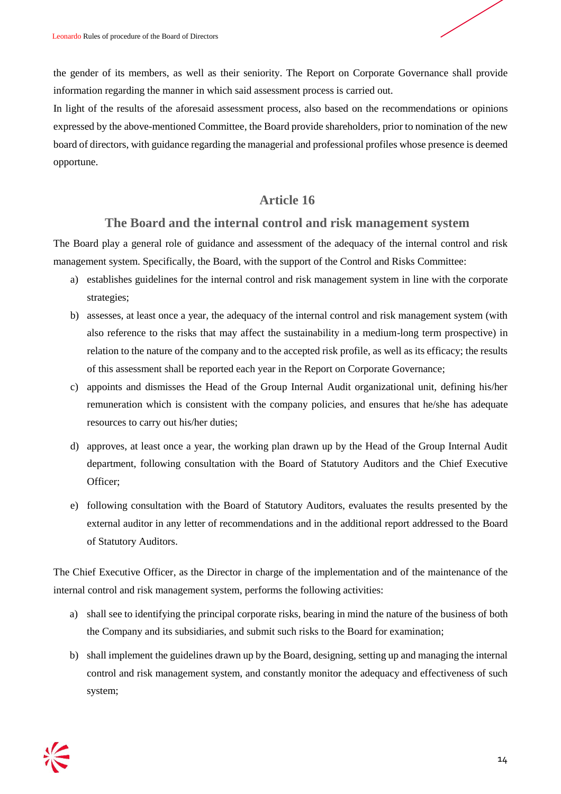

the gender of its members, as well as their seniority. The Report on Corporate Governance shall provide information regarding the manner in which said assessment process is carried out.

In light of the results of the aforesaid assessment process, also based on the recommendations or opinions expressed by the above-mentioned Committee, the Board provide shareholders, prior to nomination of the new board of directors, with guidance regarding the managerial and professional profiles whose presence is deemed opportune.

# **Article 16**

# **The Board and the internal control and risk management system**

The Board play a general role of guidance and assessment of the adequacy of the internal control and risk management system. Specifically, the Board, with the support of the Control and Risks Committee:

- a) establishes guidelines for the internal control and risk management system in line with the corporate strategies;
- b) assesses, at least once a year, the adequacy of the internal control and risk management system (with also reference to the risks that may affect the sustainability in a medium-long term prospective) in relation to the nature of the company and to the accepted risk profile, as well as its efficacy; the results of this assessment shall be reported each year in the Report on Corporate Governance;
- c) appoints and dismisses the Head of the Group Internal Audit organizational unit, defining his/her remuneration which is consistent with the company policies, and ensures that he/she has adequate resources to carry out his/her duties;
- d) approves, at least once a year, the working plan drawn up by the Head of the Group Internal Audit department, following consultation with the Board of Statutory Auditors and the Chief Executive Officer;
- e) following consultation with the Board of Statutory Auditors, evaluates the results presented by the external auditor in any letter of recommendations and in the additional report addressed to the Board of Statutory Auditors.

The Chief Executive Officer, as the Director in charge of the implementation and of the maintenance of the internal control and risk management system, performs the following activities:

- a) shall see to identifying the principal corporate risks, bearing in mind the nature of the business of both the Company and its subsidiaries, and submit such risks to the Board for examination;
- b) shall implement the guidelines drawn up by the Board, designing, setting up and managing the internal control and risk management system, and constantly monitor the adequacy and effectiveness of such system;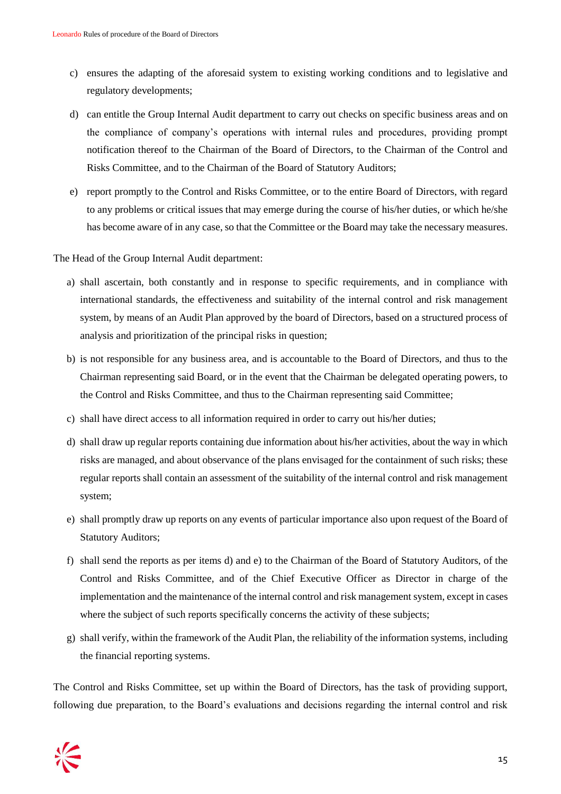- c) ensures the adapting of the aforesaid system to existing working conditions and to legislative and regulatory developments;
- d) can entitle the Group Internal Audit department to carry out checks on specific business areas and on the compliance of company's operations with internal rules and procedures, providing prompt notification thereof to the Chairman of the Board of Directors, to the Chairman of the Control and Risks Committee, and to the Chairman of the Board of Statutory Auditors;
- e) report promptly to the Control and Risks Committee, or to the entire Board of Directors, with regard to any problems or critical issues that may emerge during the course of his/her duties, or which he/she has become aware of in any case, so that the Committee or the Board may take the necessary measures.

The Head of the Group Internal Audit department:

- a) shall ascertain, both constantly and in response to specific requirements, and in compliance with international standards, the effectiveness and suitability of the internal control and risk management system, by means of an Audit Plan approved by the board of Directors, based on a structured process of analysis and prioritization of the principal risks in question;
- b) is not responsible for any business area, and is accountable to the Board of Directors, and thus to the Chairman representing said Board, or in the event that the Chairman be delegated operating powers, to the Control and Risks Committee, and thus to the Chairman representing said Committee;
- c) shall have direct access to all information required in order to carry out his/her duties;
- d) shall draw up regular reports containing due information about his/her activities, about the way in which risks are managed, and about observance of the plans envisaged for the containment of such risks; these regular reports shall contain an assessment of the suitability of the internal control and risk management system;
- e) shall promptly draw up reports on any events of particular importance also upon request of the Board of Statutory Auditors;
- f) shall send the reports as per items d) and e) to the Chairman of the Board of Statutory Auditors, of the Control and Risks Committee, and of the Chief Executive Officer as Director in charge of the implementation and the maintenance of the internal control and risk management system, except in cases where the subject of such reports specifically concerns the activity of these subjects;
- g) shall verify, within the framework of the Audit Plan, the reliability of the information systems, including the financial reporting systems.

The Control and Risks Committee, set up within the Board of Directors, has the task of providing support, following due preparation, to the Board's evaluations and decisions regarding the internal control and risk

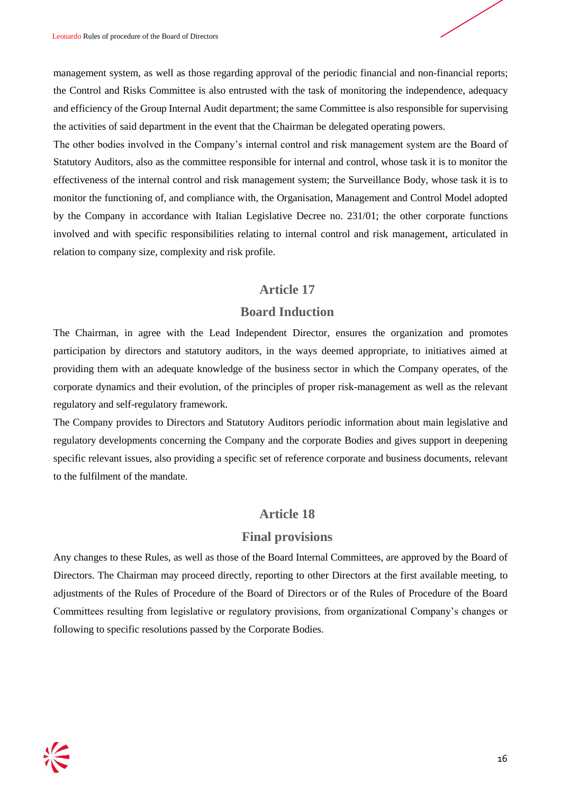management system, as well as those regarding approval of the periodic financial and non-financial reports; the Control and Risks Committee is also entrusted with the task of monitoring the independence, adequacy and efficiency of the Group Internal Audit department; the same Committee is also responsible for supervising the activities of said department in the event that the Chairman be delegated operating powers.

The other bodies involved in the Company's internal control and risk management system are the Board of Statutory Auditors, also as the committee responsible for internal and control, whose task it is to monitor the effectiveness of the internal control and risk management system; the Surveillance Body, whose task it is to monitor the functioning of, and compliance with, the Organisation, Management and Control Model adopted by the Company in accordance with Italian Legislative Decree no. 231/01; the other corporate functions involved and with specific responsibilities relating to internal control and risk management, articulated in relation to company size, complexity and risk profile.

# **Article 17**

# **Board Induction**

The Chairman, in agree with the Lead Independent Director, ensures the organization and promotes participation by directors and statutory auditors, in the ways deemed appropriate, to initiatives aimed at providing them with an adequate knowledge of the business sector in which the Company operates, of the corporate dynamics and their evolution, of the principles of proper risk-management as well as the relevant regulatory and self-regulatory framework.

The Company provides to Directors and Statutory Auditors periodic information about main legislative and regulatory developments concerning the Company and the corporate Bodies and gives support in deepening specific relevant issues, also providing a specific set of reference corporate and business documents, relevant to the fulfilment of the mandate.

# **Article 18**

# **Final provisions**

Any changes to these Rules, as well as those of the Board Internal Committees, are approved by the Board of Directors. The Chairman may proceed directly, reporting to other Directors at the first available meeting, to adjustments of the Rules of Procedure of the Board of Directors or of the Rules of Procedure of the Board Committees resulting from legislative or regulatory provisions, from organizational Company's changes or following to specific resolutions passed by the Corporate Bodies.